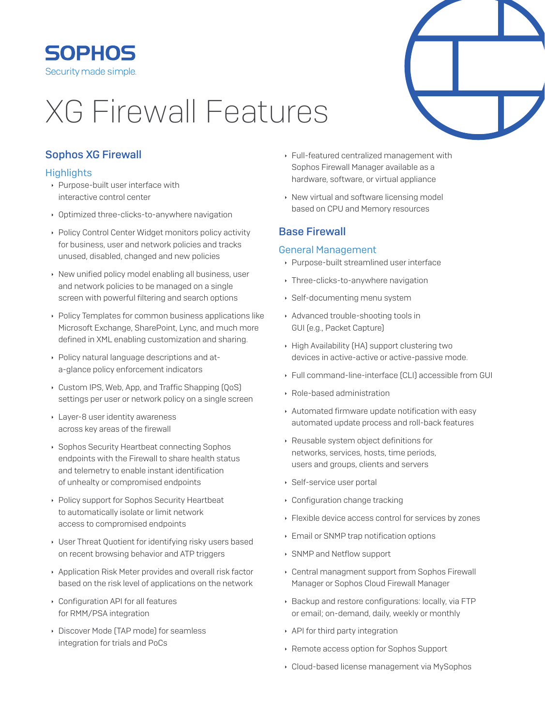

# **XG Firewall Features**

# **Sophos XG Firewall**

## **Highlights**

- ▶ Purpose-built user interface with interactive control center
- Optimized three-clicks-to-anywhere navigation
- ▶ Policy Control Center Widget monitors policy activity for business, user and network policies and tracks unused, disabled, changed and new policies
- New unified policy model enabling all business, user and network policies to be managed on a single screen with powerful filtering and search options
- Policy Templates for common business applications like Microsoft Exchange, SharePoint, Lync, and much more defined in XML enabling customization and sharing.
- Policy natural language descriptions and ata-glance policy enforcement indicators
- Custom IPS, Web, App, and Traffic Shapping [QoS] settings per user or network policy on a single screen
- Layer-8 user identity awareness across key areas of the firewall
- ▶ Sophos Security Heartbeat connecting Sophos endpoints with the Firewall to share health status and telemetry to enable instant identification of unhealty or compromised endpoints
- Policy support for Sophos Security Heartbeat to automatically isolate or limit network access to compromised endpoints
- User Threat Quotient for identifying risky users based on recent browsing behavior and ATP triggers
- Application Risk Meter provides and overall risk factor based on the risk level of applications on the network
- Configuration API for all features for RMM/PSA integration
- Discover Mode (TAP mode) for seamless integration for trials and PoCs
- Full-featured centralized management with Sophos Firewall Manager available as a hardware, software, or virtual appliance
- ▶ New virtual and software licensing model based on CPU and Memory resources

# **Base Firewall**

#### **General Management**

- ▶ Purpose-built streamlined user interface
- ▸ Three-clicks-to-anywhere navigation
- ▶ Self-documenting menu system
- Advanced trouble-shooting tools in GUI (e.g., Packet Capture)
- High Availability (HA) support clustering two devices in active-active or active-passive mode.
- ▶ Full command-line-interface [CLI] accessible from GUI
- ▶ Role-based administration
- Automated firmware update notification with easy automated update process and roll-back features
- Reusable system object definitions for networks, services, hosts, time periods, users and groups, clients and servers
- ▶ Self-service user portal
- Configuration change tracking
- Elexible device access control for services by zones
- Email or SNMP trap notification options
- SNMP and Netflow support
- ▸ Central managment support from Sophos Firewall Manager or Sophos Cloud Firewall Manager
- > Backup and restore configurations: locally, via FTP or email; on-demand, daily, weekly or monthly
- API for third party integration
- Remote access option for Sophos Support
- Cloud-based license management via MySophos

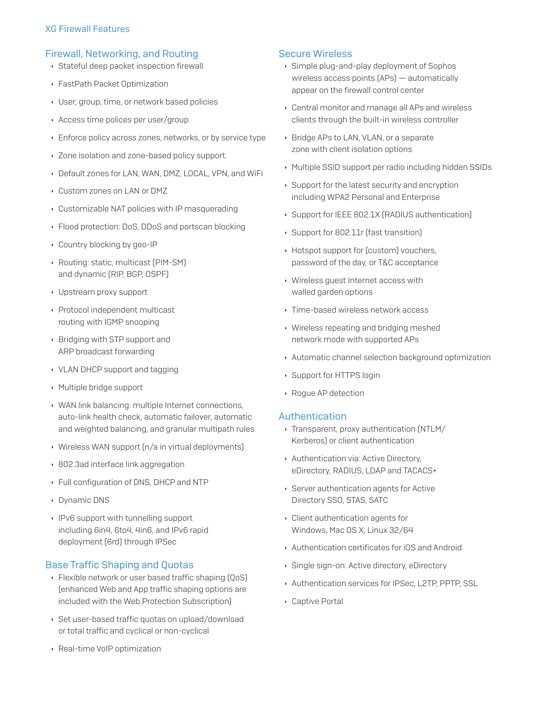#### **XG Firewall Features**

## Firewall, Networking, and Routing

- Stateful deep packet inspection firewall
- ▶ FastPath Packet Optimization
- ▶ User, group, time, or network based policies
- Access time polices per user/group
- Enforce policy across zones, networks, or by service type
- Dividenda Zone-based policy support.
- Default zones for LAN, WAN, DMZ, LOCAL, VPN, and WiFi
- Custom zones on LAN or DMZ
- Customizable NAT policies with IP masquerading
- ▶ Flood protection: DoS, DDoS and portscan blocking
- Country blocking by geo-IP
- Routing: static, multicast [PIM-SM] and dynamic (RIP, BGP, OSPF)
- Upstream proxy support
- ▶ Protocol independent multicast routing with IGMP snooping
- ▶ Bridging with STP support and ARP broadcast forwarding
- ▸ VLAN DHCP support and tagging
- ▶ Multiple bridge support
- ▶ WAN link balancing: multiple Internet connections, auto-link health check, automatic failover, automatic and weighted balancing, and granular multipath rules
- ▶ Wireless WAN support [n/a in virtual deployments]
- ▶ 802.3ad interface link aggregation
- Full configuration of DNS, DHCP and NTP
- Dynamic DNS
- IPv6 support with tunnelling support including 6in4, 6to4, 4in6, and IPv6 rapid deployment (6rd) through IPSec

#### **Base Traffic Shaping and Quotas**

- ▶ Flexible network or user based traffic shaping [QoS] (enhanced Web and App traffic shaping options are included with the Web Protection Subscription]
- ▶ Set user-based traffic quotas on upload/download or total traffic and cyclical or non-cyclical
- ▶ Real-time VoIP optimization

#### **Secure Wireless**

- Simple plug-and-play deployment of Sophos wireless access points (APs) - automatically appear on the firewall control center
- Central monitor and manage all APs and wireless clients through the built-in wireless controller
- ▶ Bridge APs to LAN, VLAN, or a separate zone with client isolation options
- Multiple SSID support per radio including hidden SSIDs
- ▶ Support for the latest security and encryption including WPA2 Personal and Enterprise
- Support for IEEE 802.1X (RADIUS authentication)
- Support for 802.11r [fast transition]
- ▶ Hotspot support for [custom] vouchers, password of the day, or T&C acceptance
- ▸ Wireless quest Internet access with walled garden options
- ▸ Time-based wireless network access
- ▸ Wireless repeating and bridging meshed network mode with supported APs
- Automatic channel selection background optimization
- ▶ Support for HTTPS login
- ▶ Rogue AP detection

#### Authentication

- · Transparent, proxy authentication (NTLM/ Kerberos) or client authentication
- Authentication via: Active Directory, eDirectory, RADIUS, LDAP and TACACS+
- ▶ Server authentication agents for Active Directory SSO, STAS, SATC
- Client authentication agents for Windows, Mac OS X, Linux 32/64
- Authentication certificates for iOS and Android
- Single sign-on: Active directory, eDirectory
- Authentication services for IPSec, L2TP, PPTP, SSL
- Captive Portal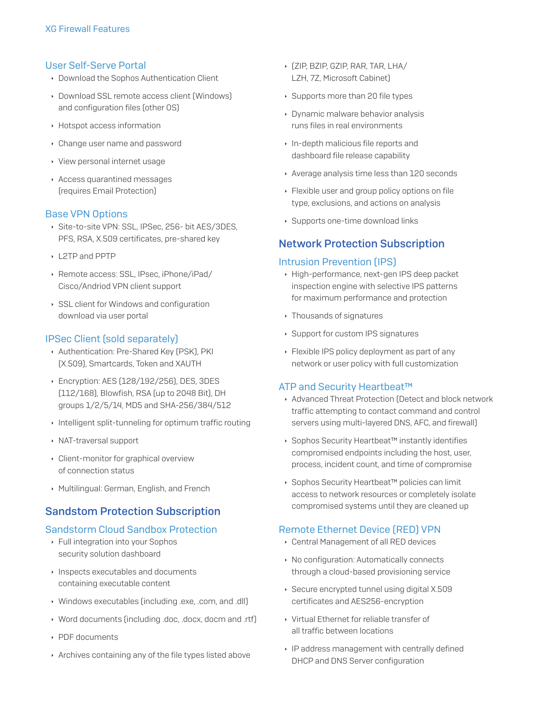#### **User Self-Serve Portal**

- Download the Sophos Authentication Client
- Download SSL remote access client [Windows] and configuration files (other OS)
- ▶ Hotspot access information
- Change user name and password
- ▸ View personal internet usage
- Access quarantined messages (requires Email Protection)

#### **Base VPN Options**

- Site-to-site VPN: SSL, IPSec, 256- bit AES/3DES, PFS, RSA, X.509 certificates, pre-shared key
- L2TP and PPTP
- Remote access: SSL, IPsec, iPhone/iPad/ Cisco/Andriod VPN client support
- SSL client for Windows and configuration download via user portal

## **IPSec Client (sold separately)**

- Authentication: Pre-Shared Key [PSK], PKI [X.509], Smartcards, Token and XAUTH
- ▶ Encryption: AES (128/192/256), DES, 3DES [112/168], Blowfish, RSA (up to 2048 Bit), DH groups 1/2/5/14, MD5 and SHA-256/384/512
- Intelligent split-tunneling for optimum traffic routing
- ▶ NAT-traversal support
- Client-monitor for graphical overview of connection status
- Multilingual: German, English, and French

# **Sandstom Protection Subscription**

#### **Sandstorm Cloud Sandbox Protection**

- ▶ Full integration into your Sophos security solution dashboard
- Inspects executables and documents containing executable content
- Nindows executables [including .exe, .com, and .dll]
- Nord documents (including .doc, .docx, docm and .rtf)
- ▶ PDE documents
- Archives containing any of the file types listed above
- ▶ [ZIP, BZIP, GZIP, RAR, TAR, LHA/ LZH, 7Z, Microsoft Cabinet)
- ▶ Supports more than 20 file types
- Dynamic malware behavior analysis runs files in real environments
- In-depth malicious file reports and dashboard file release capability
- Average analysis time less than 120 seconds
- ▶ Flexible user and group policy options on file type, exclusions, and actions on analysis
- ▶ Supports one-time download links

# **Network Protection Subscription**

#### **Intrusion Prevention (IPS)**

- High-performance, next-gen IPS deep packet inspection engine with selective IPS patterns for maximum performance and protection
- ▸ Thousands of signatures
- ▶ Support for custom IPS signatures
- ▶ Flexible IPS policy deployment as part of any network or user policy with full customization

## ATP and Security Heartbeat™

- Advanced Threat Protection (Detect and block network traffic attempting to contact command and control servers using multi-layered DNS, AFC, and firewall)
- ▶ Sophos Security Heartbeat<sup>™</sup> instantly identifies compromised endpoints including the host, user, process, incident count, and time of compromise
- ▶ Sophos Security Heartbeat™ policies can limit access to network resources or completely isolate compromised systems until they are cleaned up

## **Remote Ethernet Device (RED) VPN**

- Central Management of all RED devices
- No configuration: Automatically connects through a cloud-based provisioning service
- ▶ Secure encrypted tunnel using digital X.509 certificates and AES256-encryption
- ▸ Virtual Ethernet for reliable transfer of all traffic between locations
- IP address management with centrally defined DHCP and DNS Server configuration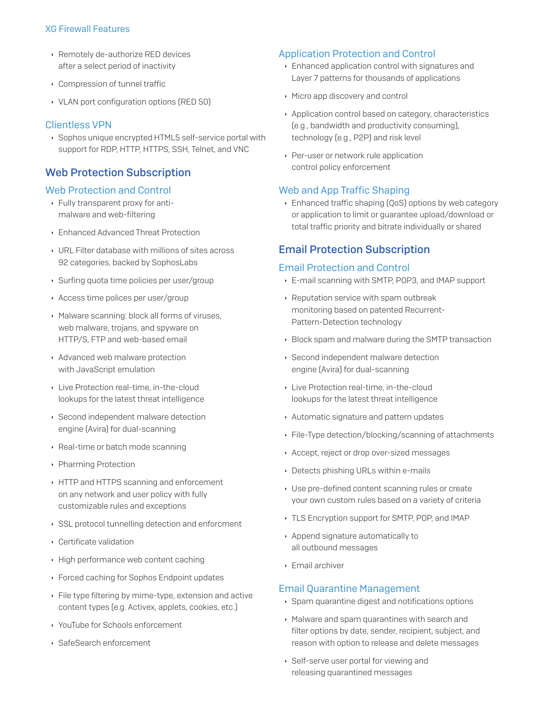#### **XG Firewall Features**

- ▶ Remotely de-authorize RED devices after a select period of inactivity
- ▸ Compression of tunnel traffic
- ▸ VLAN port configuration options (RED 50)

## **Clientless VPN**

Sophos unique encrypted HTML5 self-service portal with support for RDP, HTTP, HTTPS, SSH, Telnet, and VNC

# **Web Protection Subscription**

## **Web Protection and Control**

- ▶ Fully transparent proxy for antimalware and web-filtering
- Enhanced Advanced Threat Protection
- ▸ URL Filter database with millions of sites across 92 categories, backed by SophosLabs
- ▶ Surfing quota time policies per user/group
- Access time polices per user/group
- Malware scanning: block all forms of viruses, web malware, trojans, and spyware on HTTP/S. FTP and web-based email
- Advanced web malware protection with JavaScript emulation
- Live Protection real-time, in-the-cloud lookups for the latest threat intelligence
- Second independent malware detection engine (Avira) for dual-scanning
- Real-time or batch mode scanning
- ▶ Pharming Protection
- HTTP and HTTPS scanning and enforcement on any network and user policy with fully customizable rules and exceptions
- SSL protocol tunnelling detection and enforcment
- ▶ Certificate validation
- High performance web content caching
- ▶ Forced caching for Sophos Endpoint updates
- Eile type filtering by mime-type, extension and active content types [e.g. Activex, applets, cookies, etc.]
- ▸ YouTube for Schools enforcement
- ▶ SafeSearch enforcement

## **Application Protection and Control**

- Enhanced application control with signatures and Layer 7 patterns for thousands of applications
- ▶ Micro app discovery and control
- Application control based on category, characteristics (e.g., bandwidth and productivity consuming), technology [e.g., P2P] and risk level
- ▶ Per-user or network rule application control policy enforcement

## **Web and App Traffic Shaping**

Enhanced traffic shaping [QoS] options by web category or application to limit or guarantee upload/download or total traffic priority and bitrate individually or shared

# **Email Protection Subscription**

#### **Email Protection and Control**

- E-mail scanning with SMTP, POP3, and IMAP support
- ▶ Reputation service with spam outbreak monitoring based on patented Recurrent-Pattern-Detection technology
- ▶ Block spam and malware during the SMTP transaction
- ▶ Second independent malware detection engine (Avira) for dual-scanning
- ▶ Live Protection real-time, in-the-cloud lookups for the latest threat intelligence
- Automatic signature and pattern updates
- ▶ File-Type detection/blocking/scanning of attachments
- Accept, reject or drop over-sized messages
- Detects phishing URLs within e-mails
- ▸ Use pre-defined content scanning rules or create your own custom rules based on a variety of criteria
- ▸ TLS Encryption support for SMTP, POP, and IMAP
- Append signature automatically to all outbound messages
- $\triangleright$  Email archiver

## **Email Quarantine Management**

- ▶ Spam quarantine digest and notifications options
- Malware and spam quarantines with search and filter options by date, sender, recipient, subject, and reason with option to release and delete messages
- ▶ Self-serve user portal for viewing and releasing quarantined messages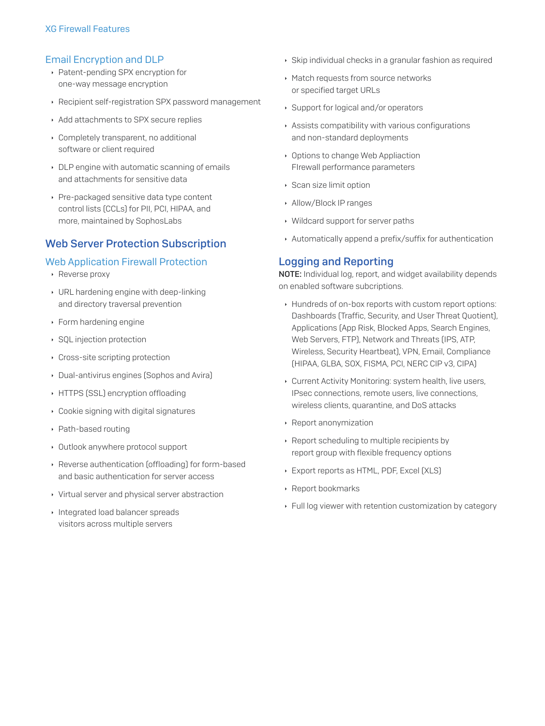## **Email Encryption and DLP**

- ▶ Patent-pending SPX encryption for one-way message encryption
- Recipient self-registration SPX password management
- Add attachments to SPX secure replies
- Completely transparent, no additional software or client required
- DLP engine with automatic scanning of emails and attachments for sensitive data
- ▶ Pre-packaged sensitive data type content control lists (CCLs) for PII, PCI, HIPAA, and more, maintained by SophosLabs

# **Web Server Protection Subscription**

## **Web Application Firewall Protection**

- ▶ Reverse proxy
- ▸ URL hardening engine with deep-linking and directory traversal prevention
- $\cdot$  Form hardening engine
- ▶ SQL injection protection
- Cross-site scripting protection
- Dual-antivirus engines (Sophos and Avira)
- HTTPS (SSL) encryption offloading
- Cookie signing with digital signatures
- ▶ Path-based routing
- Outlook anywhere protocol support
- ▶ Reverse authentication [offloading] for form-based and basic authentication for server access
- ▸ Virtual server and physical server abstraction
- Integrated load balancer spreads visitors across multiple servers
- Skip individual checks in a granular fashion as required
- Match requests from source networks or specified target URLs
- ▶ Support for logical and/or operators
- Assists compatibility with various configurations and non-standard deployments
- Options to change Web Appliaction Firewall performance parameters
- ▶ Scan size limit option
- Allow/Block IP ranges
- ▶ Wildcard support for server paths
- Automatically append a prefix/suffix for authentication

# **Logging and Reporting**

NOTE: Individual log, report, and widget availability depends on enabled software subcriptions.

- Hundreds of on-box reports with custom report options: Dashboards (Traffic, Security, and User Threat Quotient), Applications (App Risk, Blocked Apps, Search Engines, Web Servers, FTP), Network and Threats (IPS, ATP, Wireless, Security Heartbeat), VPN, Email, Compliance [HIPAA, GLBA, SOX, FISMA, PCI, NERC CIP v3, CIPA]
- Current Activity Monitoring: system health, live users, IPsec connections, remote users, live connections, wireless clients, quarantine, and DoS attacks
- Report anonymization
- ▶ Report scheduling to multiple recipients by report group with flexible frequency options
- Export reports as HTML, PDF, Excel (XLS)
- ▶ Report bookmarks
- ▶ Full log viewer with retention customization by category